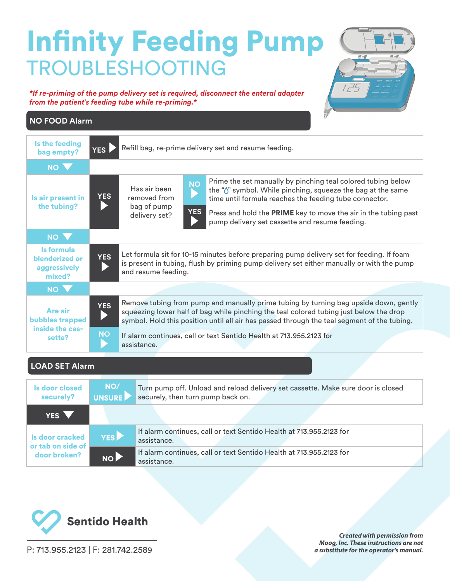## Infinity Feeding Pump TROUBLESHOOTING

*\*If re-priming of the pump delivery set is required, disconnect the enteral adapter from the patient's feeding tube while re-priming.\**



## **NO FOOD Alarm**

| Is the feeding<br>bag empty?                                          | Refill bag, re-prime delivery set and resume feeding.<br>YES                                                                                                                                                                                                                                |                                                              |                                                                                                                       |                                                                                                                                                                                       |  |
|-----------------------------------------------------------------------|---------------------------------------------------------------------------------------------------------------------------------------------------------------------------------------------------------------------------------------------------------------------------------------------|--------------------------------------------------------------|-----------------------------------------------------------------------------------------------------------------------|---------------------------------------------------------------------------------------------------------------------------------------------------------------------------------------|--|
| NO V                                                                  |                                                                                                                                                                                                                                                                                             |                                                              |                                                                                                                       |                                                                                                                                                                                       |  |
| Is air present in<br>the tubing?                                      | <b>YES</b>                                                                                                                                                                                                                                                                                  | Has air been<br>removed from<br>bag of pump<br>delivery set? | <b>NO</b>                                                                                                             | Prime the set manually by pinching teal colored tubing below<br>the """ symbol. While pinching, squeeze the bag at the same<br>time until formula reaches the feeding tube connector. |  |
|                                                                       |                                                                                                                                                                                                                                                                                             |                                                              | <b>YES</b>                                                                                                            | Press and hold the PRIME key to move the air in the tubing past<br>pump delivery set cassette and resume feeding.                                                                     |  |
| NO V                                                                  |                                                                                                                                                                                                                                                                                             |                                                              |                                                                                                                       |                                                                                                                                                                                       |  |
| Is formula<br>blenderized or<br>aggressively<br>mixed?                | Let formula sit for 10-15 minutes before preparing pump delivery set for feeding. If foam<br><b>YES</b><br>is present in tubing, flush by priming pump delivery set either manually or with the pump<br>and resume feeding.                                                                 |                                                              |                                                                                                                       |                                                                                                                                                                                       |  |
| NO V                                                                  |                                                                                                                                                                                                                                                                                             |                                                              |                                                                                                                       |                                                                                                                                                                                       |  |
| <b>Are air</b><br><b>bubbles trapped</b><br>inside the cas-<br>sette? | Remove tubing from pump and manually prime tubing by turning bag upside down, gently<br><b>YES</b><br>squeezing lower half of bag while pinching the teal colored tubing just below the drop<br>symbol. Hold this position until all air has passed through the teal segment of the tubing. |                                                              |                                                                                                                       |                                                                                                                                                                                       |  |
|                                                                       | <b>NO</b><br>If alarm continues, call or text Sentido Health at 713.955.2123 for<br>assistance.                                                                                                                                                                                             |                                                              |                                                                                                                       |                                                                                                                                                                                       |  |
| <b>LOAD SET Alarm</b>                                                 |                                                                                                                                                                                                                                                                                             |                                                              |                                                                                                                       |                                                                                                                                                                                       |  |
| <b>Is door closed</b><br>securely?                                    | NO/<br><b>UNSURE</b>                                                                                                                                                                                                                                                                        |                                                              | Turn pump off. Unload and reload delivery set cassette. Make sure door is closed<br>securely, then turn pump back on. |                                                                                                                                                                                       |  |
| YES <sup>V</sup>                                                      |                                                                                                                                                                                                                                                                                             |                                                              |                                                                                                                       |                                                                                                                                                                                       |  |
| <b>Is door cracked</b>                                                | <b>YES</b>                                                                                                                                                                                                                                                                                  | accictance                                                   | If alarm continues, call or text Sentido Health at 713.955.2123 for                                                   |                                                                                                                                                                                       |  |





P: 713.955.2123 | F: 281.742.2589

*Created with permission from Moog, Inc. These instructions are not a substitute for the operator's manual.*